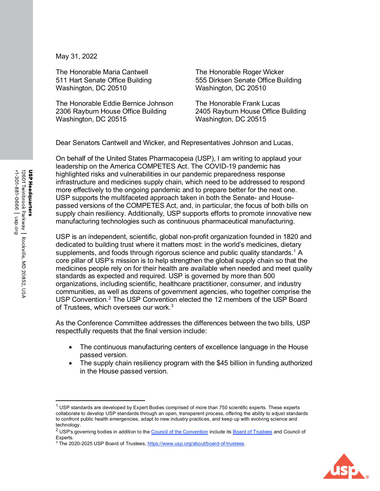May 31, 2022

The Honorable Maria Cantwell 511 Hart Senate Office Building Washington, DC 20510

The Honorable Eddie Bernice Johnson 2306 Rayburn House Office Building Washington, DC 20515

The Honorable Roger Wicker 555 Dirksen Senate Office Building Washington, DC 20510

The Honorable Frank Lucas 2405 Rayburn House Office Building Washington, DC 20515

Dear Senators Cantwell and Wicker, and Representatives Johnson and Lucas,

On behalf of the United States Pharmacopeia (USP), I am writing to applaud your leadership on the America COMPETES Act. The COVID-19 pandemic has highlighted risks and vulnerabilities in our pandemic preparedness response infrastructure and medicines supply chain, which need to be addressed to respond more effectively to the ongoing pandemic and to prepare better for the next one. USP supports the multifaceted approach taken in both the Senate- and Housepassed versions of the COMPETES Act, and, in particular, the focus of both bills on supply chain resiliency. Additionally, USP supports efforts to promote innovative new manufacturing technologies such as continuous pharmaceutical manufacturing.

USP is an independent, scientific, global non-profit organization founded in 1820 and dedicated to building trust where it matters most: in the world's medicines, dietary supplements, and foods through rigorous science and public quality standards.<sup>[1](#page-0-0)</sup> A core pillar of USP's mission is to help strengthen the global supply chain so that the medicines people rely on for their health are available when needed and meet quality standards as expected and required. USP is governed by more than 500 organizations, including scientific, healthcare practitioner, consumer, and industry communities, as well as dozens of government agencies, who together comprise the USP Convention.<sup>[2](#page-0-1)</sup> The USP Convention elected the 12 members of the USP Board of Trustees, which oversees our work. [3](#page-0-2)

As the Conference Committee addresses the differences between the two bills, USP respectfully requests that the final version include:

- The continuous manufacturing centers of excellence language in the House passed version.
- The supply chain resiliency program with the \$45 billion in funding authorized in the House passed version.



<span id="page-0-0"></span> $1$  USP standards are developed by Expert Bodies comprised of more than 750 scientific experts. These experts collaborate to develop USP standards through an open, transparent process, offering the ability to adjust standards to confront public health emergencies, adapt to new industry practices, and keep up with evolving science and technology.

<span id="page-0-1"></span><sup>&</sup>lt;sup>2</sup> USP's governing bodies in addition to the [Council of the Convention](https://www.usp.org/about/convention-membership/convention-committees/council-convention) include its **Board of Trustees** and Council of Experts.

<span id="page-0-2"></span><sup>&</sup>lt;sup>3</sup> The 2020-2025 USP Board of Trustees, https://www.usp.org/about/board-of-trustees.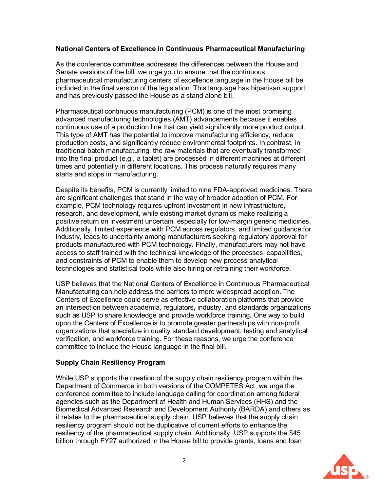## **National Centers of Excellence in Continuous Pharmaceutical Manufacturing**

As the conference committee addresses the differences between the House and Senate versions of the bill, we urge you to ensure that the continuous pharmaceutical manufacturing centers of excellence language in the House bill be included in the final version of the legislation. This language has bipartisan support, and has previously passed the House as a stand alone bill.

Pharmaceutical continuous manufacturing (PCM) is one of the most promising advanced manufacturing technologies (AMT) advancements because it enables continuous use of a production line that can yield significantly more product output. This type of AMT has the potential to improve manufacturing efficiency, reduce production costs, and significantly reduce environmental footprints. In contrast, in traditional batch manufacturing, the raw materials that are eventually transformed into the final product (e.g., a tablet) are processed in different machines at different times and potentially in different locations. This process naturally requires many starts and stops in manufacturing.

Despite its benefits, PCM is currently limited to nine FDA-approved medicines. There are significant challenges that stand in the way of broader adoption of PCM. For example, PCM technology requires upfront investment in new infrastructure, research, and development, while existing market dynamics make realizing a positive return on investment uncertain, especially for low-margin generic medicines. Additionally, limited experience with PCM across regulators, and limited guidance for industry, leads to uncertainty among manufacturers seeking regulatory approval for products manufactured with PCM technology. Finally, manufacturers may not have access to staff trained with the technical knowledge of the processes, capabilities, and constraints of PCM to enable them to develop new process analytical technologies and statistical tools while also hiring or retraining their workforce.

USP believes that the National Centers of Excellence in Continuous Pharmaceutical Manufacturing can help address the barriers to more widespread adoption. The Centers of Excellence could serve as effective collaboration platforms that provide an intersection between academia, regulators, industry, and standards organizations such as USP to share knowledge and provide workforce training. One way to build upon the Centers of Excellence is to promote greater partnerships with non-profit organizations that specialize in quality standard development, testing and analytical verification, and workforce training. For these reasons, we urge the conference committee to include the House language in the final bill.

## **Supply Chain Resiliency Program**

While USP supports the creation of the supply chain resiliency program within the Department of Commerce in both versions of the COMPETES Act, we urge the conference committee to include language calling for coordination among federal agencies such as the Department of Health and Human Services (HHS) and the Biomedical Advanced Research and Development Authority (BARDA) and others as it relates to the pharmaceutical supply chain. USP believes that the supply chain resiliency program should not be duplicative of current efforts to enhance the resiliency of the pharmaceutical supply chain. Additionally, USP supports the \$45 billion through FY27 authorized in the House bill to provide grants, loans and loan

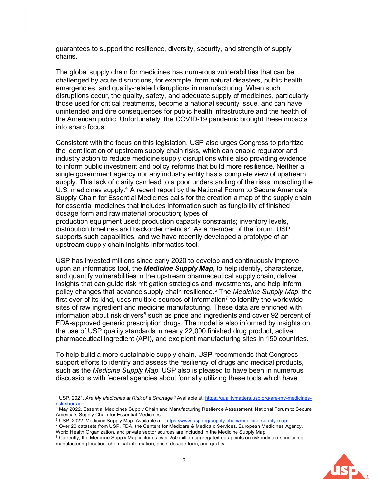guarantees to support the resilience, diversity, security, and strength of supply chains.

The global supply chain for medicines has numerous vulnerabilities that can be challenged by acute disruptions, for example, from natural disasters, public health emergencies, and quality-related disruptions in manufacturing. When such disruptions occur, the quality, safety, and adequate supply of medicines, particularly those used for critical treatments, become a national security issue, and can have unintended and dire consequences for public health infrastructure and the health of the American public. Unfortunately, the COVID-19 pandemic brought these impacts into sharp focus.

Consistent with the focus on this legislation, USP also urges Congress to prioritize the identification of upstream supply chain risks, which can enable regulator and industry action to reduce medicine supply disruptions while also providing evidence to inform public investment and policy reforms that build more resilience. Neither a single government agency nor any industry entity has a complete view of upstream supply. This lack of clarity can lead to a poor understanding of the risks impacting the U.S. medicines supply.<sup>4</sup> A recent report by the National Forum to Secure America's Supply Chain for Essential Medicines calls for the creation a map of the supply chain for essential medicines that includes information such as fungibility of finished dosage form and raw material production; types of

production equipment used; production capacity constraints; inventory levels, distribution timelines, and backorder metrics<sup>[5](#page-2-1)</sup>. As a member of the forum, USP supports such capabilities, and we have recently developed a prototype of an upstream supply chain insights informatics tool.

USP has invested millions since early 2020 to develop and continuously improve upon an informatics tool, the *Medicine Supply Map*, to help identify, characterize, and quantify vulnerabilities in the upstream pharmaceutical supply chain, deliver insights that can guide risk mitigation strategies and investments, and help inform policy changes that advance supply chain resilience.[6](#page-2-2) The *Medicine Supply Map*, the first ever of its kind, uses multiple sources of information<sup>[7](#page-2-3)</sup> to identify the worldwide sites of raw ingredient and medicine manufacturing. These data are enriched with information about risk drivers $8$  such as price and ingredients and cover 92 percent of FDA-approved generic prescription drugs. The model is also informed by insights on the use of USP quality standards in nearly 22,000 finished drug product, active pharmaceutical ingredient (API), and excipient manufacturing sites in 150 countries.

To help build a more sustainable supply chain, USP recommends that Congress support efforts to identify and assess the resiliency of drugs and medical products, such as the *Medicine Supply Map*. USP also is pleased to have been in numerous discussions with federal agencies about formally utilizing these tools which have

<span id="page-2-4"></span><sup>&</sup>lt;sup>8</sup> Currently, the Medicine Supply Map includes over 250 million aggregated datapoints on risk indicators including manufacturing location, chemical information, price, dosage form, and quality.



<span id="page-2-0"></span><sup>4</sup> USP. 2021. *Are My Medicines at Risk of a Shortage?* Available at: [https://qualitymatters.usp.org/are-my-medicines](https://qualitymatters.usp.org/are-my-medicines-risk-shortage)[risk-shortage](https://qualitymatters.usp.org/are-my-medicines-risk-shortage)

<span id="page-2-1"></span> $^{\rm 5}$  May 2022, Essential Medicines Supply Chain and Manufacturing Reslience Assessment; National Forum to Secure America's Supply Chain for Essential Medicines.

<span id="page-2-3"></span><span id="page-2-2"></span><sup>&</sup>lt;sup>6</sup> USP. 2022. Medicine Supply Map. Available at: <https://www.usp.org/supply-chain/medicine-supply-map>

<sup>7</sup> Over 20 datasets from USP, FDA, the Centers for Medicare & Medicaid Services, European Medicines Agency, World Health Organization, and private sector sources are included in the Medicine Supply Map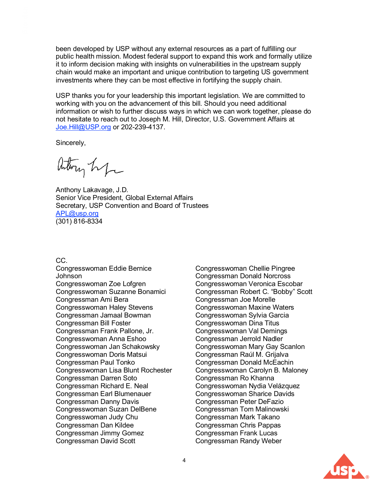been developed by USP without any external resources as a part of fulfilling our public health mission. Modest federal support to expand this work and formally utilize it to inform decision making with insights on vulnerabilities in the upstream supply chain would make an important and unique contribution to targeting US government investments where they can be most effective in fortifying the supply chain.

USP thanks you for your leadership this important legislation. We are committed to working with you on the advancement of this bill. Should you need additional information or wish to further discuss ways in which we can work together, please do not hesitate to reach out to Joseph M. Hill, Director, U.S. Government Affairs at [Joe.Hill@USP.org](mailto:Joe.Hill@USP.org) or 202-239-4137.

Sincerely,

Arthry hip

Anthony Lakavage, J.D. Senior Vice President, Global External Affairs Secretary, USP Convention and Board of Trustees [APL@usp.org](mailto:APL@usp.org) (301) 816-8334

CC.

Congresswoman Eddie Bernice Johnson Congresswoman Zoe Lofgren Congresswoman Suzanne Bonamici Congressman Ami Bera Congresswoman Haley Stevens Congressman Jamaal Bowman Congressman Bill Foster Congressman Frank Pallone, Jr. Congresswoman Anna Eshoo Congresswoman Jan Schakowsky Congresswoman Doris Matsui Congressman Paul Tonko Congresswoman Lisa Blunt Rochester Congressman Darren Soto Congressman Richard E. Neal Congressman Earl Blumenauer Congressman Danny Davis Congresswoman Suzan DelBene Congresswoman Judy Chu Congressman Dan Kildee Congressman Jimmy Gomez Congressman David Scott

Congresswoman Chellie Pingree Congressman Donald Norcross Congresswoman Veronica Escobar Congressman Robert C. "Bobby" Scott Congressman Joe Morelle Congresswoman Maxine Waters Congresswoman Sylvia Garcia Congresswoman Dina Titus Congresswoman Val Demings Congressman Jerrold Nadler Congresswoman Mary Gay Scanlon Congressman Raúl M. Grijalva Congressman Donald McEachin Congresswoman Carolyn B. Maloney Congressman Ro Khanna Congresswoman Nydia Velázquez Congresswoman Sharice Davids Congressman Peter DeFazio Congressman Tom Malinowski Congressman Mark Takano Congressman Chris Pappas Congressman Frank Lucas Congressman Randy Weber